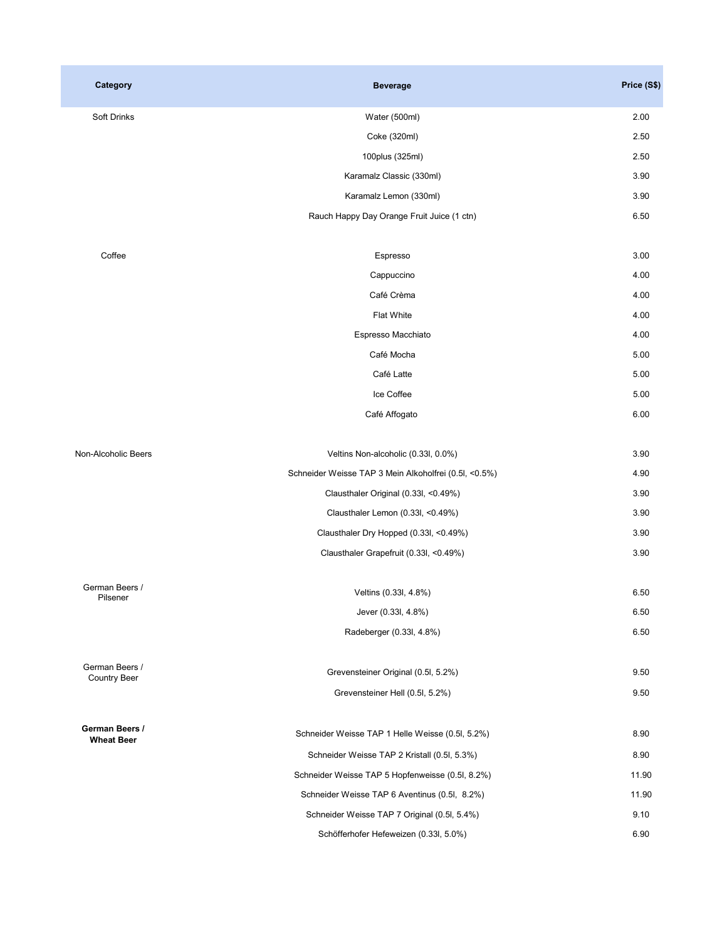| Category                              | <b>Beverage</b>                                       | Price (S\$) |
|---------------------------------------|-------------------------------------------------------|-------------|
| <b>Soft Drinks</b>                    | Water (500ml)                                         | 2.00        |
|                                       | Coke (320ml)                                          | 2.50        |
|                                       | 100plus (325ml)                                       | 2.50        |
|                                       | Karamalz Classic (330ml)                              | 3.90        |
|                                       | Karamalz Lemon (330ml)                                | 3.90        |
|                                       | Rauch Happy Day Orange Fruit Juice (1 ctn)            | 6.50        |
| Coffee                                | Espresso                                              | 3.00        |
|                                       | Cappuccino                                            | 4.00        |
|                                       | Café Crèma                                            | 4.00        |
|                                       | Flat White                                            | 4.00        |
|                                       | Espresso Macchiato                                    | 4.00        |
|                                       | Café Mocha                                            | 5.00        |
|                                       | Café Latte                                            | 5.00        |
|                                       | Ice Coffee                                            | 5.00        |
|                                       | Café Affogato                                         | 6.00        |
| Non-Alcoholic Beers                   | Veltins Non-alcoholic (0.33l, 0.0%)                   | 3.90        |
|                                       | Schneider Weisse TAP 3 Mein Alkoholfrei (0.5l, <0.5%) | 4.90        |
|                                       | Clausthaler Original (0.33l, <0.49%)                  | 3.90        |
|                                       | Clausthaler Lemon (0.33l, <0.49%)                     | 3.90        |
|                                       | Clausthaler Dry Hopped (0.33l, <0.49%)                | 3.90        |
|                                       | Clausthaler Grapefruit (0.33l, <0.49%)                | 3.90        |
| German Beers /<br>Pilsener            | Veltins (0.33l, 4.8%)                                 | 6.50        |
|                                       | Jever (0.33l, 4.8%)                                   | 6.50        |
|                                       | Radeberger (0.33l, 4.8%)                              | 6.50        |
| German Beers /<br><b>Country Beer</b> | Grevensteiner Original (0.5l, 5.2%)                   | 9.50        |
|                                       | Grevensteiner Hell (0.5l, 5.2%)                       | 9.50        |
| German Beers /                        | Schneider Weisse TAP 1 Helle Weisse (0.5l, 5.2%)      | 8.90        |
| <b>Wheat Beer</b>                     | Schneider Weisse TAP 2 Kristall (0.5l, 5.3%)          | 8.90        |
|                                       | Schneider Weisse TAP 5 Hopfenweisse (0.5l, 8.2%)      | 11.90       |
|                                       | Schneider Weisse TAP 6 Aventinus (0.5l, 8.2%)         | 11.90       |
|                                       | Schneider Weisse TAP 7 Original (0.5l, 5.4%)          | 9.10        |
|                                       | Schöfferhofer Hefeweizen (0.33l, 5.0%)                | 6.90        |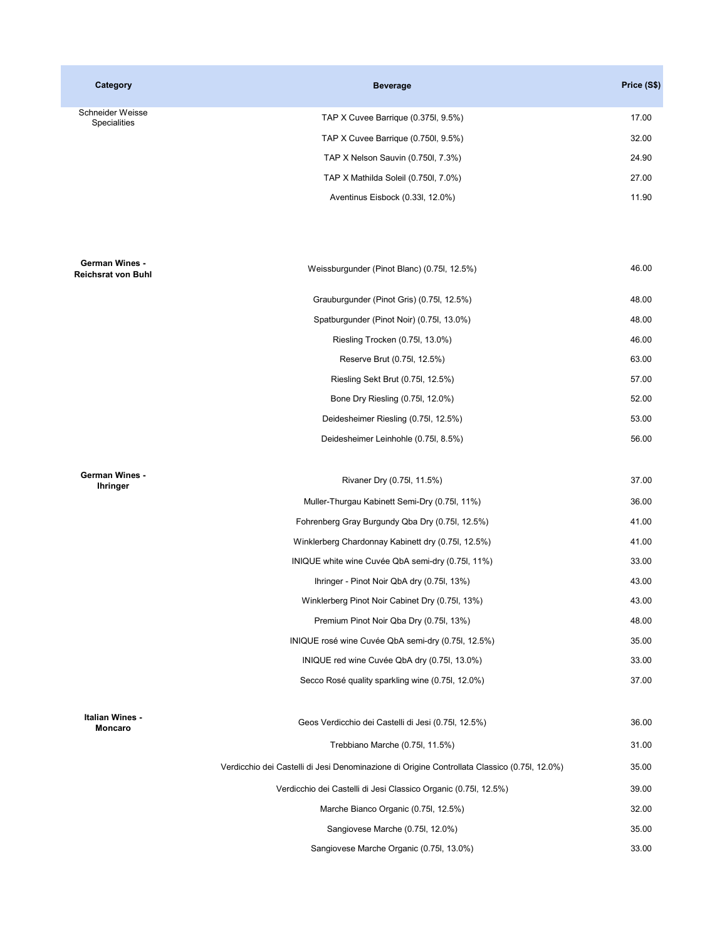| Category                                    | <b>Beverage</b>                                                                              | Price (S\$) |
|---------------------------------------------|----------------------------------------------------------------------------------------------|-------------|
| Schneider Weisse<br>Specialities            | TAP X Cuvee Barrique (0.375, 9.5%)                                                           | 17.00       |
|                                             | TAP X Cuvee Barrique (0.750l, 9.5%)                                                          | 32.00       |
|                                             | TAP X Nelson Sauvin (0.750l, 7.3%)                                                           | 24.90       |
|                                             | TAP X Mathilda Soleil (0.750l, 7.0%)                                                         | 27.00       |
|                                             | Aventinus Eisbock (0.33l, 12.0%)                                                             | 11.90       |
| German Wines -<br><b>Reichsrat von Buhl</b> | Weissburgunder (Pinot Blanc) (0.75, 12.5%)                                                   | 46.00       |
|                                             | Grauburgunder (Pinot Gris) (0.75l, 12.5%)                                                    | 48.00       |
|                                             | Spatburgunder (Pinot Noir) (0.75l, 13.0%)                                                    | 48.00       |
|                                             | Riesling Trocken (0.75l, 13.0%)                                                              | 46.00       |
|                                             | Reserve Brut (0.75l, 12.5%)                                                                  | 63.00       |
|                                             | Riesling Sekt Brut (0.75, 12.5%)                                                             | 57.00       |
|                                             | Bone Dry Riesling (0.75l, 12.0%)                                                             | 52.00       |
|                                             | Deidesheimer Riesling (0.75l, 12.5%)                                                         | 53.00       |
|                                             | Deidesheimer Leinhohle (0.75l, 8.5%)                                                         | 56.00       |
| German Wines -<br><b>Ihringer</b>           | Rivaner Dry (0.75l, 11.5%)                                                                   | 37.00       |
|                                             | Muller-Thurgau Kabinett Semi-Dry (0.75l, 11%)                                                | 36.00       |
|                                             | Fohrenberg Gray Burgundy Qba Dry (0.75, 12.5%)                                               | 41.00       |
|                                             | Winklerberg Chardonnay Kabinett dry (0.75l, 12.5%)                                           | 41.00       |
|                                             | INIQUE white wine Cuvée QbA semi-dry (0.75l, 11%)                                            | 33.00       |
|                                             | Ihringer - Pinot Noir QbA dry (0.75l, 13%)                                                   | 43.00       |
|                                             | Winklerberg Pinot Noir Cabinet Dry (0.75l, 13%)                                              | 43.00       |
|                                             | Premium Pinot Noir Qba Dry (0.75l, 13%)                                                      | 48.00       |
|                                             | INIQUE rosé wine Cuvée QbA semi-dry (0.751, 12.5%)                                           | 35.00       |
|                                             | INIQUE red wine Cuvée QbA dry (0.75l, 13.0%)                                                 | 33.00       |
|                                             | Secco Rosé quality sparkling wine (0.75, 12.0%)                                              | 37.00       |
| Italian Wines -<br><b>Moncaro</b>           | Geos Verdicchio dei Castelli di Jesi (0.75l, 12.5%)                                          | 36.00       |
|                                             | Trebbiano Marche (0.75l, 11.5%)                                                              | 31.00       |
|                                             | Verdicchio dei Castelli di Jesi Denominazione di Origine Controllata Classico (0.75l, 12.0%) | 35.00       |
|                                             | Verdicchio dei Castelli di Jesi Classico Organic (0.75l, 12.5%)                              | 39.00       |
|                                             | Marche Bianco Organic (0.75l, 12.5%)                                                         | 32.00       |
|                                             | Sangiovese Marche (0.75l, 12.0%)                                                             | 35.00       |
|                                             | Sangiovese Marche Organic (0.75l, 13.0%)                                                     | 33.00       |